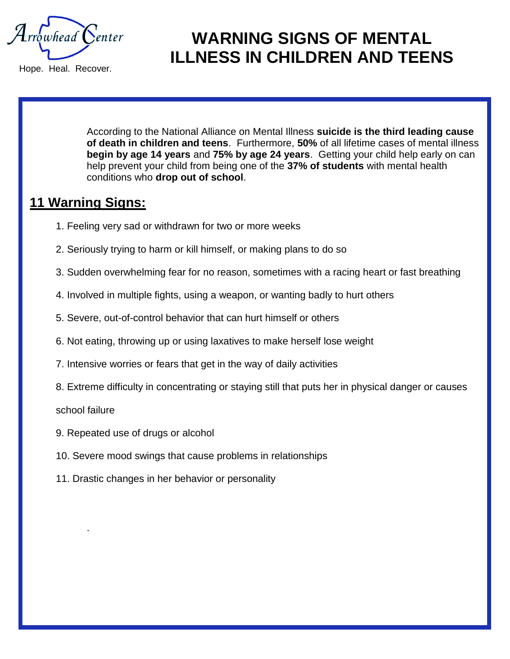$\mathcal{A}$ rrowhead  $\mathcal{C}$ enter

Hope. Heal. Recover.

## **WARNING SIGNS OF MENTAL ILLNESS IN CHILDREN AND TEENS**

According to the National Alliance on Mental Illness **suicide is the third leading cause of death in children and teens**. Furthermore, **50%** of all lifetime cases of mental illness **begin by age 14 years** and **75% by age 24 years**. Getting your child help early on can help prevent your child from being one of the **37% of students** with mental health conditions who **drop out of school**.

#### **11 Warning Signs:**

- 1. Feeling very sad or withdrawn for two or more weeks
- 2. Seriously trying to harm or kill himself, or making plans to do so
- 3. Sudden overwhelming fear for no reason, sometimes with a racing heart or fast breathing
- 4. Involved in multiple fights, using a weapon, or wanting badly to hurt others
- 5. Severe, out-of-control behavior that can hurt himself or others
- 6. Not eating, throwing up or using laxatives to make herself lose weight
- 7. Intensive worries or fears that get in the way of daily activities
- 8. Extreme difficulty in concentrating or staying still that puts her in physical danger or causes

school failure

.

- 9. Repeated use of drugs or alcohol
- 10. Severe mood swings that cause problems in relationships
- 11. Drastic changes in her behavior or personality